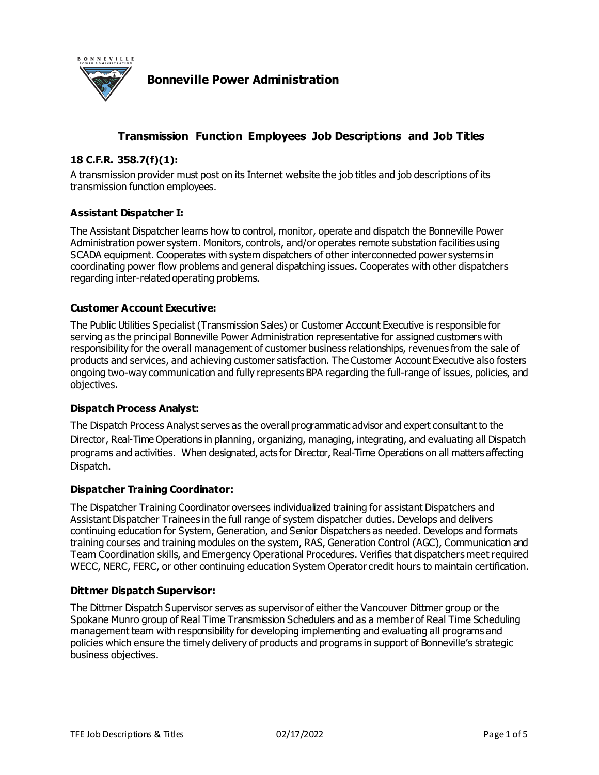

# **Transmission Function Employees Job Descriptions and Job Titles**

## **18 C.F.R. 358.7(f)(1):**

A transmission provider must post on its Internet website the job titles and job descriptions of its transmission function employees.

#### **Assistant Dispatcher I:**

The Assistant Dispatcher learns how to control, monitor, operate and dispatch the Bonneville Power Administration power system. Monitors, controls, and/or operates remote substation facilities using SCADA equipment. Cooperates with system dispatchers of other interconnected power systems in coordinating power flow problems and general dispatching issues. Cooperates with other dispatchers regarding inter-related operating problems.

#### **Customer Account Executive:**

The Public Utilities Specialist (Transmission Sales) or Customer Account Executive is responsible for serving as the principal Bonneville Power Administration representative for assigned customers with responsibility for the overall management of customer business relationships, revenues from the sale of products and services, and achieving customer satisfaction. The Customer Account Executive also fosters ongoing two-way communication and fully represents BPA regarding the full-range of issues, policies, and objectives.

#### **Dispatch Process Analyst:**

The Dispatch Process Analyst serves as the overall programmatic advisor and expert consultant to the Director, Real-Time Operations in planning, organizing, managing, integrating, and evaluating all Dispatch programs and activities. When designated, acts for Director, Real-Time Operations on all matters affecting Dispatch.

#### **Dispatcher Training Coordinator:**

The Dispatcher Training Coordinator oversees individualized training for assistant Dispatchers and Assistant Dispatcher Trainees in the full range of system dispatcher duties. Develops and delivers continuing education for System, Generation, and Senior Dispatchers as needed. Develops and formats training courses and training modules on the system, RAS, Generation Control (AGC), Communication and Team Coordination skills, and Emergency Operational Procedures. Verifies that dispatchers meet required WECC, NERC, FERC, or other continuing education System Operator credit hours to maintain certification.

#### **Dittmer Dispatch Supervisor:**

The Dittmer Dispatch Supervisor serves as supervisor of either the Vancouver Dittmer group or the Spokane Munro group of Real Time Transmission Schedulers and as a member of Real Time Scheduling management team with responsibility for developing implementing and evaluating all programs and policies which ensure the timely delivery of products and programs in support of Bonneville's strategic business objectives.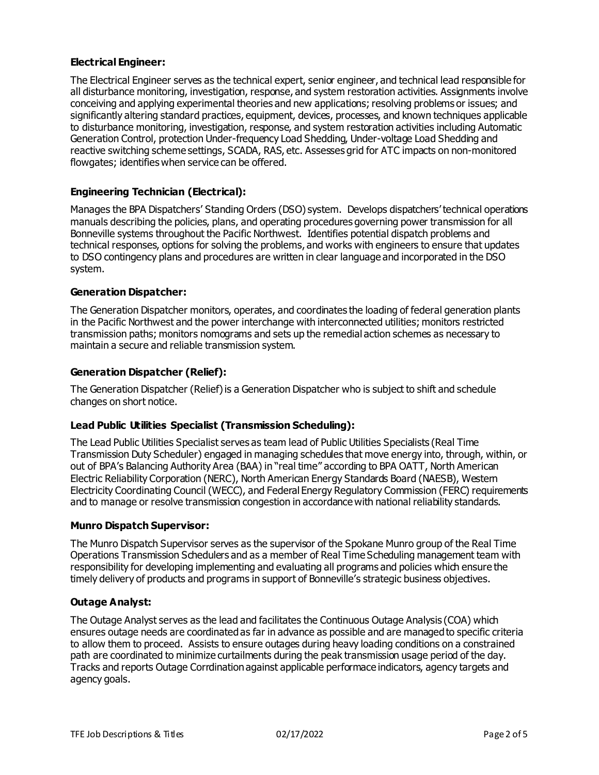### **Electrical Engineer:**

The Electrical Engineer serves as the technical expert, senior engineer, and technical lead responsible for all disturbance monitoring, investigation, response, and system restoration activities. Assignments involve conceiving and applying experimental theories and new applications; resolving problems or issues; and significantly altering standard practices, equipment, devices, processes, and known techniques applicable to disturbance monitoring, investigation, response, and system restoration activities including Automatic Generation Control, protection Under-frequency Load Shedding, Under-voltage Load Shedding and reactive switching scheme settings, SCADA, RAS, etc. Assesses grid for ATC impacts on non-monitored flowgates; identifies when service can be offered.

### **Engineering Technician (Electrical):**

Manages the BPA Dispatchers' Standing Orders (DSO) system. Develops dispatchers' technical operations manuals describing the policies, plans, and operating procedures governing power transmission for all Bonneville systems throughout the Pacific Northwest. Identifies potential dispatch problems and technical responses, options for solving the problems, and works with engineers to ensure that updates to DSO contingency plans and procedures are written in clear language and incorporated in the DSO system.

### **Generation Dispatcher:**

The Generation Dispatcher monitors, operates, and coordinates the loading of federal generation plants in the Pacific Northwest and the power interchange with interconnected utilities; monitors restricted transmission paths; monitors nomograms and sets up the remedial action schemes as necessary to maintain a secure and reliable transmission system.

### **Generation Dispatcher (Relief):**

The Generation Dispatcher (Relief) is a Generation Dispatcher who is subject to shift and schedule changes on short notice.

#### **Lead Public Utilities Specialist (Transmission Scheduling):**

The Lead Public Utilities Specialist serves as team lead of Public Utilities Specialists (Real Time Transmission Duty Scheduler) engaged in managing schedules that move energy into, through, within, or out of BPA's Balancing Authority Area (BAA) in "real time" according to BPA OATT, North American Electric Reliability Corporation (NERC), North American Energy Standards Board (NAESB), Western Electricity Coordinating Council (WECC), and Federal Energy Regulatory Commission (FERC) requirements and to manage or resolve transmission congestion in accordance with national reliability standards.

#### **Munro Dispatch Supervisor:**

The Munro Dispatch Supervisor serves as the supervisor of the Spokane Munro group of the Real Time Operations Transmission Schedulers and as a member of Real Time Scheduling management team with responsibility for developing implementing and evaluating all programs and policies which ensure the timely delivery of products and programs in support of Bonneville's strategic business objectives.

### **Outage Analyst:**

The Outage Analyst serves as the lead and facilitates the Continuous Outage Analysis (COA) which ensures outage needs are coordinated as far in advance as possible and are managed to specific criteria to allow them to proceed. Assists to ensure outages during heavy loading conditions on a constrained path are coordinated to minimize curtailments during the peak transmission usage period of the day. Tracks and reports Outage Corrdination against applicable performace indicators, agency targets and agency goals.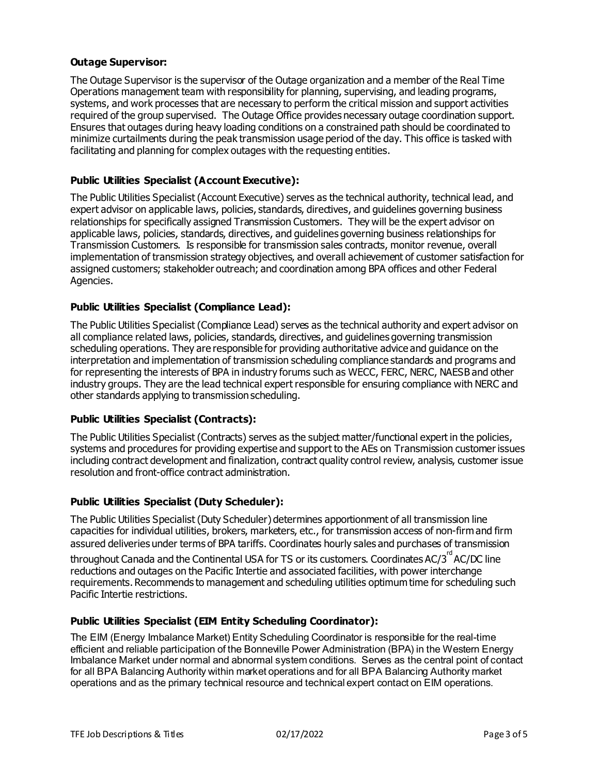## **Outage Supervisor:**

The Outage Supervisor is the supervisor of the Outage organization and a member of the Real Time Operations management team with responsibility for planning, supervising, and leading programs, systems, and work processes that are necessary to perform the critical mission and support activities required of the group supervised. The Outage Office provides necessary outage coordination support. Ensures that outages during heavy loading conditions on a constrained path should be coordinated to minimize curtailments during the peak transmission usage period of the day. This office is tasked with facilitating and planning for complex outages with the requesting entities.

## **Public Utilities Specialist (Account Executive):**

The Public Utilities Specialist (Account Executive) serves as the technical authority, technical lead, and expert advisor on applicable laws, policies, standards, directives, and guidelines governing business relationships for specifically assigned Transmission Customers. They will be the expert advisor on applicable laws, policies, standards, directives, and guidelines governing business relationships for Transmission Customers. Is responsible for transmission sales contracts, monitor revenue, overall implementation of transmission strategy objectives, and overall achievement of customer satisfaction for assigned customers; stakeholder outreach; and coordination among BPA offices and other Federal Agencies.

## **Public Utilities Specialist (Compliance Lead):**

The Public Utilities Specialist (Compliance Lead) serves as the technical authority and expert advisor on all compliance related laws, policies, standards, directives, and guidelines governing transmission scheduling operations. They are responsible for providing authoritative advice and guidance on the interpretation and implementation of transmission scheduling compliance standards and programs and for representing the interests of BPA in industry forums such as WECC, FERC, NERC, NAESB and other industry groups. They are the lead technical expert responsible for ensuring compliance with NERC and other standards applying to transmission scheduling.

#### **Public Utilities Specialist (Contracts):**

The Public Utilities Specialist (Contracts) serves as the subject matter/functional expert in the policies, systems and procedures for providing expertise and support to the AEs on Transmission customer issues including contract development and finalization, contract quality control review, analysis, customer issue resolution and front-office contract administration.

#### **Public Utilities Specialist (Duty Scheduler):**

The Public Utilities Specialist (Duty Scheduler) determines apportionment of all transmission line capacities for individual utilities, brokers, marketers, etc., for transmission access of non-firm and firm assured deliveries under terms of BPA tariffs. Coordinates hourly sales and purchases of transmission

throughout Canada and the Continental USA for TS or its customers. Coordinates AC/3<sup>rd</sup> AC/DC line reductions and outages on the Pacific Intertie and associated facilities, with power interchange requirements. Recommends to management and scheduling utilities optimum time for scheduling such Pacific Intertie restrictions.

#### **Public Utilities Specialist (EIM Entity Scheduling Coordinator):**

The EIM (Energy Imbalance Market) Entity Scheduling Coordinator is responsible for the real-time efficient and reliable participation of the Bonneville Power Administration (BPA) in the Western Energy Imbalance Market under normal and abnormal system conditions. Serves as the central point of contact for all BPA Balancing Authority within market operations and for all BPA Balancing Authority market operations and as the primary technical resource and technical expert contact on EIM operations.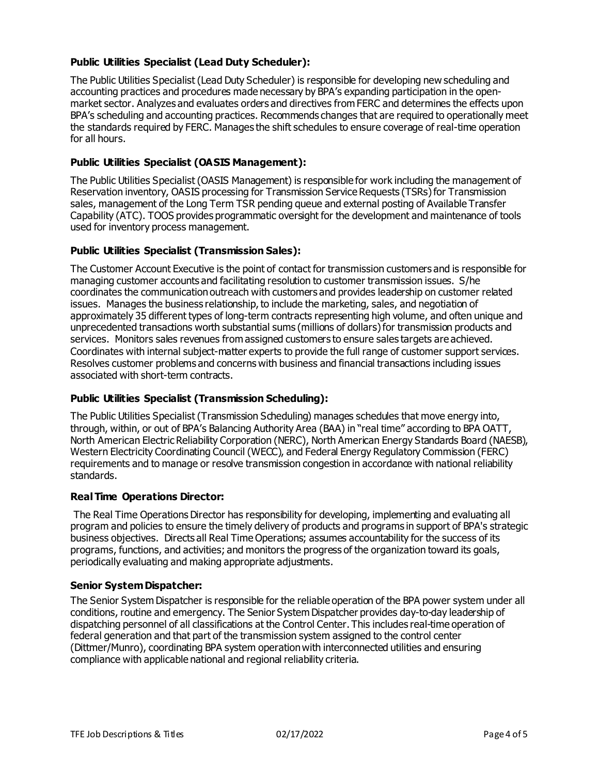## **Public Utilities Specialist (Lead Duty Scheduler):**

The Public Utilities Specialist (Lead Duty Scheduler) is responsible for developing new scheduling and accounting practices and procedures made necessary by BPA's expanding participation in the openmarket sector. Analyzes and evaluates orders and directives from FERC and determines the effects upon BPA's scheduling and accounting practices. Recommends changes that are required to operationally meet the standards required by FERC. Manages the shift schedules to ensure coverage of real-time operation for all hours.

## **Public Utilities Specialist (OASIS Management):**

The Public Utilities Specialist (OASIS Management) is responsible for work including the management of Reservation inventory, OASIS processing for Transmission Service Requests (TSRs) for Transmission sales, management of the Long Term TSR pending queue and external posting of Available Transfer Capability (ATC). TOOS provides programmatic oversight for the development and maintenance of tools used for inventory process management.

### **Public Utilities Specialist (Transmission Sales):**

The Customer Account Executive is the point of contact for transmission customers and is responsible for managing customer accounts and facilitating resolution to customer transmission issues. S/he coordinates the communication outreach with customers and provides leadership on customer related issues. Manages the business relationship, to include the marketing, sales, and negotiation of approximately 35 different types of long-term contracts representing high volume, and often unique and unprecedented transactions worth substantial sums (millions of dollars) for transmission products and services. Monitors sales revenues from assigned customers to ensure sales targets are achieved. Coordinates with internal subject-matter experts to provide the full range of customer support services. Resolves customer problems and concerns with business and financial transactions including issues associated with short-term contracts.

#### **Public Utilities Specialist (Transmission Scheduling):**

The Public Utilities Specialist (Transmission Scheduling) manages schedules that move energy into, through, within, or out of BPA's Balancing Authority Area (BAA) in "real time" according to BPA OATT, North American Electric Reliability Corporation (NERC), North American Energy Standards Board (NAESB), Western Electricity Coordinating Council (WECC), and Federal Energy Regulatory Commission (FERC) requirements and to manage or resolve transmission congestion in accordance with national reliability standards.

#### **Real Time Operations Director:**

The Real Time Operations Director has responsibility for developing, implementing and evaluating all program and policies to ensure the timely delivery of products and programs in support of BPA's strategic business objectives. Directs all Real Time Operations; assumes accountability for the success of its programs, functions, and activities; and monitors the progress of the organization toward its goals, periodically evaluating and making appropriate adjustments.

#### **Senior System Dispatcher:**

The Senior System Dispatcher is responsible for the reliable operation of the BPA power system under all conditions, routine and emergency. The Senior System Dispatcher provides day-to-day leadership of dispatching personnel of all classifications at the Control Center. This includes real-time operation of federal generation and that part of the transmission system assigned to the control center (Dittmer/Munro), coordinating BPA system operation with interconnected utilities and ensuring compliance with applicable national and regional reliability criteria.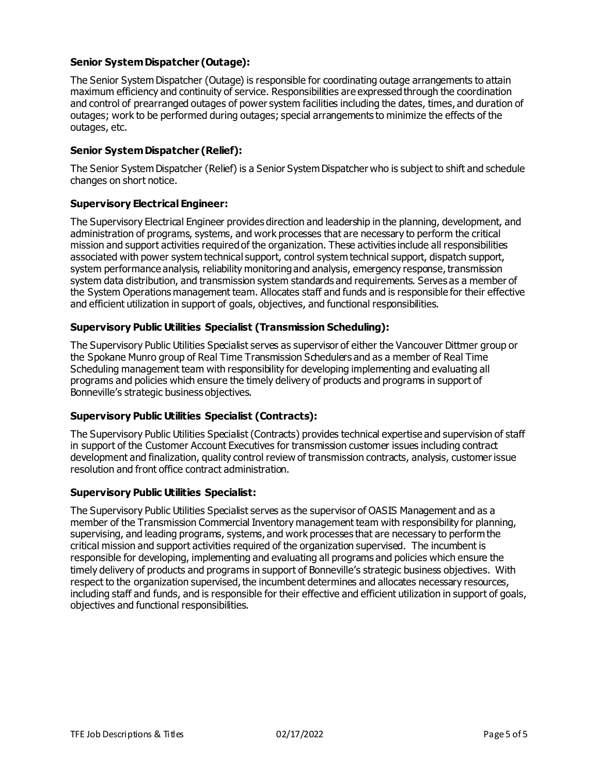## **Senior System Dispatcher (Outage):**

The Senior System Dispatcher (Outage) is responsible for coordinating outage arrangements to attain maximum efficiency and continuity of service. Responsibilities are expressed through the coordination and control of prearranged outages of power system facilities including the dates, times, and duration of outages; work to be performed during outages; special arrangements to minimize the effects of the outages, etc.

## **Senior System Dispatcher (Relief):**

The Senior System Dispatcher (Relief) is a Senior System Dispatcher who is subject to shift and schedule changes on short notice.

### **Supervisory Electrical Engineer:**

The Supervisory Electrical Engineer provides direction and leadership in the planning, development, and administration of programs, systems, and work processes that are necessary to perform the critical mission and support activities required of the organization. These activities include all responsibilities associated with power system technical support, control system technical support, dispatch support, system performance analysis, reliability monitoring and analysis, emergency response, transmission system data distribution, and transmission system standards and requirements. Serves as a member of the System Operations management team. Allocates staff and funds and is responsible for their effective and efficient utilization in support of goals, objectives, and functional responsibilities.

### **Supervisory Public Utilities Specialist (Transmission Scheduling):**

The Supervisory Public Utilities Specialist serves as supervisor of either the Vancouver Dittmer group or the Spokane Munro group of Real Time Transmission Schedulers and as a member of Real Time Scheduling management team with responsibility for developing implementing and evaluating all programs and policies which ensure the timely delivery of products and programs in support of Bonneville's strategic business objectives.

#### **Supervisory Public Utilities Specialist (Contracts):**

The Supervisory Public Utilities Specialist (Contracts) provides technical expertise and supervision of staff in support of the Customer Account Executives for transmission customer issues including contract development and finalization, quality control review of transmission contracts, analysis, customer issue resolution and front office contract administration.

#### **Supervisory Public Utilities Specialist:**

The Supervisory Public Utilities Specialist serves as the supervisor of OASIS Management and as a member of the Transmission Commercial Inventory management team with responsibility for planning, supervising, and leading programs, systems, and work processes that are necessary to perform the critical mission and support activities required of the organization supervised. The incumbent is responsible for developing, implementing and evaluating all programs and policies which ensure the timely delivery of products and programs in support of Bonneville's strategic business objectives. With respect to the organization supervised, the incumbent determines and allocates necessary resources, including staff and funds, and is responsible for their effective and efficient utilization in support of goals, objectives and functional responsibilities.